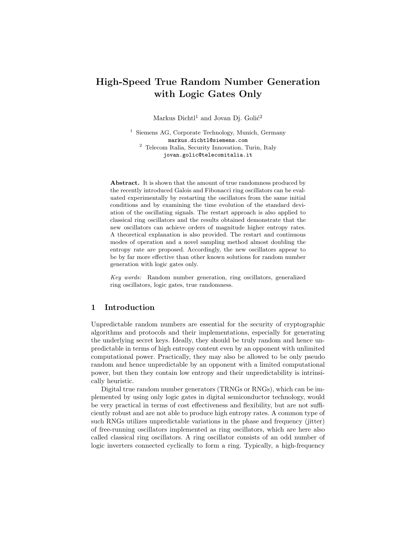# High-Speed True Random Number Generation with Logic Gates Only

Markus Dichtl<sup>1</sup> and Jovan Dj. Golić<sup>2</sup>

<sup>1</sup> Siemens AG, Corporate Technology, Munich, Germany markus.dichtl@siemens.com <sup>2</sup> Telecom Italia, Security Innovation, Turin, Italy jovan.golic@telecomitalia.it

Abstract. It is shown that the amount of true randomness produced by the recently introduced Galois and Fibonacci ring oscillators can be evaluated experimentally by restarting the oscillators from the same initial conditions and by examining the time evolution of the standard deviation of the oscillating signals. The restart approach is also applied to classical ring oscillators and the results obtained demonstrate that the new oscillators can achieve orders of magnitude higher entropy rates. A theoretical explanation is also provided. The restart and continuous modes of operation and a novel sampling method almost doubling the entropy rate are proposed. Accordingly, the new oscillators appear to be by far more effective than other known solutions for random number generation with logic gates only.

Key words: Random number generation, ring oscillators, generalized ring oscillators, logic gates, true randomness.

## 1 Introduction

Unpredictable random numbers are essential for the security of cryptographic algorithms and protocols and their implementations, especially for generating the underlying secret keys. Ideally, they should be truly random and hence unpredictable in terms of high entropy content even by an opponent with unlimited computational power. Practically, they may also be allowed to be only pseudo random and hence unpredictable by an opponent with a limited computational power, but then they contain low entropy and their unpredictability is intrinsically heuristic.

Digital true random number generators (TRNGs or RNGs), which can be implemented by using only logic gates in digital semiconductor technology, would be very practical in terms of cost effectiveness and flexibility, but are not sufficiently robust and are not able to produce high entropy rates. A common type of such RNGs utilizes unpredictable variations in the phase and frequency (jitter) of free-running oscillators implemented as ring oscillators, which are here also called classical ring oscillators. A ring oscillator consists of an odd number of logic inverters connected cyclically to form a ring. Typically, a high-frequency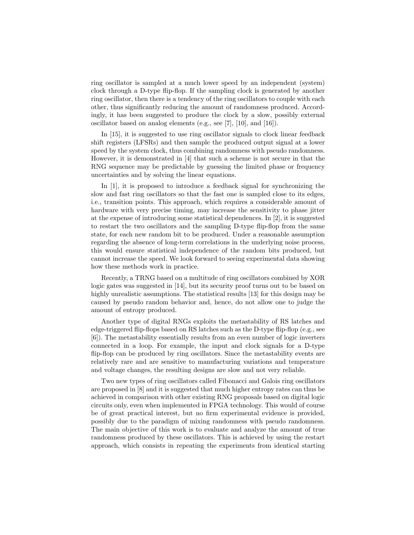ring oscillator is sampled at a much lower speed by an independent (system) clock through a D-type flip-flop. If the sampling clock is generated by another ring oscillator, then there is a tendency of the ring oscillators to couple with each other, thus significantly reducing the amount of randomness produced. Accordingly, it has been suggested to produce the clock by a slow, possibly external oscillator based on analog elements (e.g., see [7], [10], and [16]).

In [15], it is suggested to use ring oscillator signals to clock linear feedback shift registers (LFSRs) and then sample the produced output signal at a lower speed by the system clock, thus combining randomness with pseudo randomness. However, it is demonstrated in [4] that such a scheme is not secure in that the RNG sequence may be predictable by guessing the limited phase or frequency uncertainties and by solving the linear equations.

In [1], it is proposed to introduce a feedback signal for synchronizing the slow and fast ring oscillators so that the fast one is sampled close to its edges, i.e., transition points. This approach, which requires a considerable amount of hardware with very precise timing, may increase the sensitivity to phase jitter at the expense of introducing some statistical dependences. In [2], it is suggested to restart the two oscillators and the sampling D-type flip-flop from the same state, for each new random bit to be produced. Under a reasonable assumption regarding the absence of long-term correlations in the underlying noise process, this would ensure statistical independence of the random bits produced, but cannot increase the speed. We look forward to seeing experimental data showing how these methods work in practice.

Recently, a TRNG based on a multitude of ring oscillators combined by XOR logic gates was suggested in [14], but its security proof turns out to be based on highly unrealistic assumptions. The statistical results [13] for this design may be caused by pseudo random behavior and, hence, do not allow one to judge the amount of entropy produced.

Another type of digital RNGs exploits the metastability of RS latches and edge-triggered flip-flops based on RS latches such as the D-type flip-flop (e.g., see [6]). The metastability essentially results from an even number of logic inverters connected in a loop. For example, the input and clock signals for a D-type flip-flop can be produced by ring oscillators. Since the metastability events are relatively rare and are sensitive to manufacturing variations and temperature and voltage changes, the resulting designs are slow and not very reliable.

Two new types of ring oscillators called Fibonacci and Galois ring oscillators are proposed in [8] and it is suggested that much higher entropy rates can thus be achieved in comparison with other existing RNG proposals based on digital logic circuits only, even when implemented in FPGA technology. This would of course be of great practical interest, but no firm experimental evidence is provided, possibly due to the paradigm of mixing randomness with pseudo randomness. The main objective of this work is to evaluate and analyze the amount of true randomness produced by these oscillators. This is achieved by using the restart approach, which consists in repeating the experiments from identical starting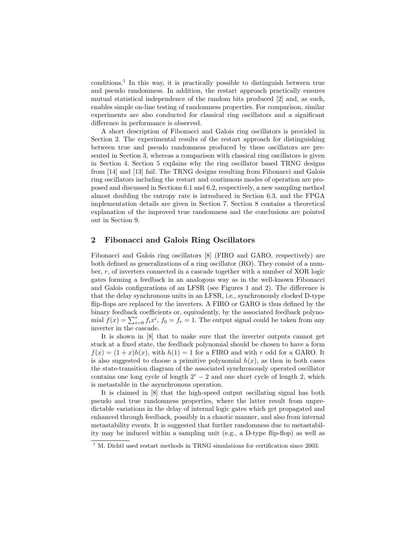conditions.<sup>1</sup> In this way, it is practically possible to distinguish between true and pseudo randomness. In addition, the restart approach practically ensures mutual statistical independence of the random bits produced [2] and, as such, enables simple on-line testing of randomness properties. For comparison, similar experiments are also conducted for classical ring oscillators and a significant difference in performance is observed.

A short description of Fibonacci and Galois ring oscillators is provided in Section 2. The experimental results of the restart approach for distinguishing between true and pseudo randomness produced by these oscillators are presented in Section 3, whereas a comparison with classical ring oscillators is given in Section 4. Section 5 explains why the ring oscillator based TRNG designs from [14] and [13] fail. The TRNG designs resulting from Fibonacci and Galois ring oscillators including the restart and continuous modes of operation are proposed and discussed in Sections 6.1 and 6.2, respectively, a new sampling method almost doubling the entropy rate is introduced in Section 6.3, and the FPGA implementation details are given in Section 7. Section 8 contains a theoretical explanation of the improved true randomness and the conclusions are pointed out in Section 9.

## 2 Fibonacci and Galois Ring Oscillators

Fibonacci and Galois ring oscillators [8] (FIRO and GARO, respectively) are both defined as generalizations of a ring oscillator (RO). They consist of a number, r, of inverters connected in a cascade together with a number of XOR logic gates forming a feedback in an analogous way as in the well-known Fibonacci and Galois configurations of an LFSR (see Figures 1 and 2). The difference is that the delay synchronous units in an LFSR, i.e., synchronously clocked D-type flip-flops are replaced by the inverters. A FIRO or GARO is thus defined by the binary feedback coefficients or, equivalently, by the associated feedback polynomial  $f(x) = \sum_{i=0}^{r} f_i x^i$ ,  $f_0 = f_r = 1$ . The output signal could be taken from any inverter in the cascade.

It is shown in [8] that to make sure that the inverter outputs cannot get stuck at a fixed state, the feedback polynomial should be chosen to have a form  $f(x) = (1+x)h(x)$ , with  $h(1) = 1$  for a FIRO and with r odd for a GARO. It is also suggested to choose a primitive polynomial  $h(x)$ , as then in both cases the state-transition diagram of the associated synchronously operated oscillator contains one long cycle of length  $2<sup>r</sup> - 2$  and one short cycle of length 2, which is metastable in the asynchronous operation.

It is claimed in [8] that the high-speed output oscillating signal has both pseudo and true randomness properties, where the latter result from unpredictable variations in the delay of internal logic gates which get propagated and enhanced through feedback, possibly in a chaotic manner, and also from internal metastability events. It is suggested that further randomness due to metastability may be induced within a sampling unit (e.g., a D-type flip-flop) as well as

 $1 \text{ M}$ . Dichtl used restart methods in TRNG simulations for certification since 2003.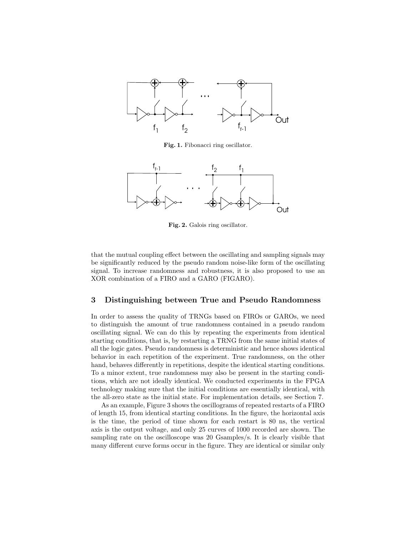

Fig. 1. Fibonacci ring oscillator.



Fig. 2. Galois ring oscillator.

that the mutual coupling effect between the oscillating and sampling signals may be significantly reduced by the pseudo random noise-like form of the oscillating signal. To increase randomness and robustness, it is also proposed to use an XOR combination of a FIRO and a GARO (FIGARO).

## 3 Distinguishing between True and Pseudo Randomness

In order to assess the quality of TRNGs based on FIROs or GAROs, we need to distinguish the amount of true randomness contained in a pseudo random oscillating signal. We can do this by repeating the experiments from identical starting conditions, that is, by restarting a TRNG from the same initial states of all the logic gates. Pseudo randomness is deterministic and hence shows identical behavior in each repetition of the experiment. True randomness, on the other hand, behaves differently in repetitions, despite the identical starting conditions. To a minor extent, true randomness may also be present in the starting conditions, which are not ideally identical. We conducted experiments in the FPGA technology making sure that the initial conditions are essentially identical, with the all-zero state as the initial state. For implementation details, see Section 7.

As an example, Figure 3 shows the oscillograms of repeated restarts of a FIRO of length 15, from identical starting conditions. In the figure, the horizontal axis is the time, the period of time shown for each restart is 80 ns, the vertical axis is the output voltage, and only 25 curves of 1000 recorded are shown. The sampling rate on the oscilloscope was 20 Gsamples/s. It is clearly visible that many different curve forms occur in the figure. They are identical or similar only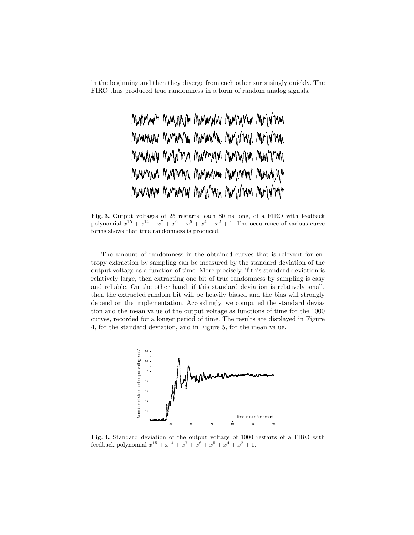in the beginning and then they diverge from each other surprisingly quickly. The FIRO thus produced true randomness in a form of random analog signals.

Munimum Muningh Munimum Muninghur Muningham Muningur Muningu Muningh, Maghing Maghing Munghan Muhima Mumpan Mumpan Munjima Manumun Manhung Manjaurum Manjaung Mandhjuju Muningang Muniyanna Munighaya Munighaya Munighaya

Fig. 3. Output voltages of 25 restarts, each 80 ns long, of a FIRO with feedback polynomial  $x^{15} + x^{14} + x^7 + x^6 + x^5 + x^4 + x^2 + 1$ . The occurrence of various curve forms shows that true randomness is produced.

The amount of randomness in the obtained curves that is relevant for entropy extraction by sampling can be measured by the standard deviation of the output voltage as a function of time. More precisely, if this standard deviation is relatively large, then extracting one bit of true randomness by sampling is easy and reliable. On the other hand, if this standard deviation is relatively small, then the extracted random bit will be heavily biased and the bias will strongly depend on the implementation. Accordingly, we computed the standard deviation and the mean value of the output voltage as functions of time for the 1000 curves, recorded for a longer period of time. The results are displayed in Figure 4, for the standard deviation, and in Figure 5, for the mean value.



Fig. 4. Standard deviation of the output voltage of 1000 restarts of a FIRO with feedback polynomial  $x^{15} + x^{14} + x^7 + x^6 + x^5 + x^4 + x^2 + 1$ .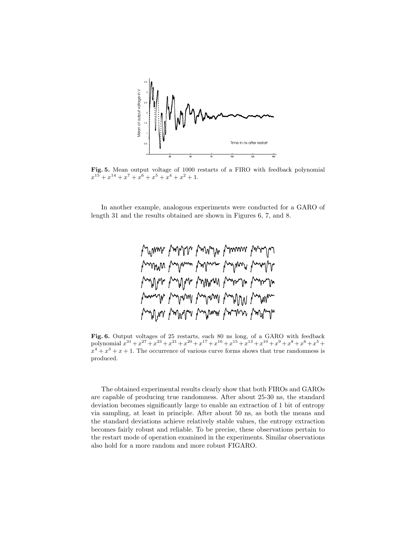

Fig. 5. Mean output voltage of 1000 restarts of a FIRO with feedback polynomial  $x^{15} + x^{14} + x^7 + x^6 + x^5 + x^4 + x^2 + 1.$ 

In another example, analogous experiments were conducted for a GARO of length 31 and the results obtained are shown in Figures 6, 7, and 8.

Fig. 6. Output voltages of 25 restarts, each 80 ns long, of a GARO with feedback polynomial x <sup>31</sup> +x <sup>27</sup> +x <sup>23</sup> +x <sup>21</sup> +x <sup>20</sup> +x <sup>17</sup> +x <sup>16</sup> +x <sup>15</sup> +x <sup>13</sup> +x <sup>10</sup> +x <sup>9</sup> +x <sup>8</sup> +x <sup>6</sup> +x <sup>5</sup> +  $x^4 + x^3 + x + 1$ . The occurrence of various curve forms shows that true randomness is produced.

The obtained experimental results clearly show that both FIROs and GAROs are capable of producing true randomness. After about 25-30 ns, the standard deviation becomes significantly large to enable an extraction of 1 bit of entropy via sampling, at least in principle. After about 50 ns, as both the means and the standard deviations achieve relatively stable values, the entropy extraction becomes fairly robust and reliable. To be precise, these observations pertain to the restart mode of operation examined in the experiments. Similar observations also hold for a more random and more robust FIGARO.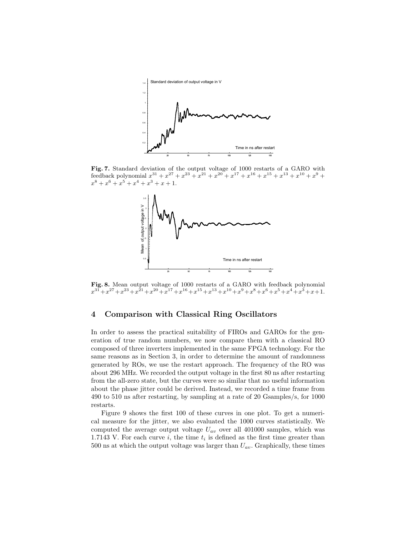

Fig. 7. Standard deviation of the output voltage of 1000 restarts of a GARO with feedback polynomial  $x^{31} + x^{27} + x^{23} + x^{21} + x^{20} + x^{17} + x^{16} + x^{15} + x^{13} + x^{10} + x^{9} + x^{10} + x^{10} + x^{10} + x^{10} + x^{10} + x^{10} + x^{10} + x^{10} + x^{10} + x^{10} + x^{10} + x^{10} + x^{10} + x^{10} + x^{10} + x^{10} + x^{10} + x^{10} + x^{10} + x^{10} + x^{10} + x^{10} + x^{1$  $x^8 + x^6 + x^5 + x^4 + x^3 + x + 1.$ 



Fig. 8. Mean output voltage of 1000 restarts of a GARO with feedback polynomial  $x^{31} + x^{27} + x^{23} + x^{21} + x^{20} + x^{17} + x^{16} + x^{15} + x^{13} + x^{10} + x^9 + x^8 + x^6 + x^5 + x^4 + x^3 + x + 1.$ 

## 4 Comparison with Classical Ring Oscillators

In order to assess the practical suitability of FIROs and GAROs for the generation of true random numbers, we now compare them with a classical RO composed of three inverters implemented in the same FPGA technology. For the same reasons as in Section 3, in order to determine the amount of randomness generated by ROs, we use the restart approach. The frequency of the RO was about 296 MHz. We recorded the output voltage in the first 80 ns after restarting from the all-zero state, but the curves were so similar that no useful information about the phase jitter could be derived. Instead, we recorded a time frame from 490 to 510 ns after restarting, by sampling at a rate of 20 Gsamples/s, for 1000 restarts.

Figure 9 shows the first 100 of these curves in one plot. To get a numerical measure for the jitter, we also evaluated the 1000 curves statistically. We computed the average output voltage  $U_{av}$  over all 401000 samples, which was 1.7143 V. For each curve  $i$ , the time  $t_i$  is defined as the first time greater than 500 ns at which the output voltage was larger than  $U_{av}$ . Graphically, these times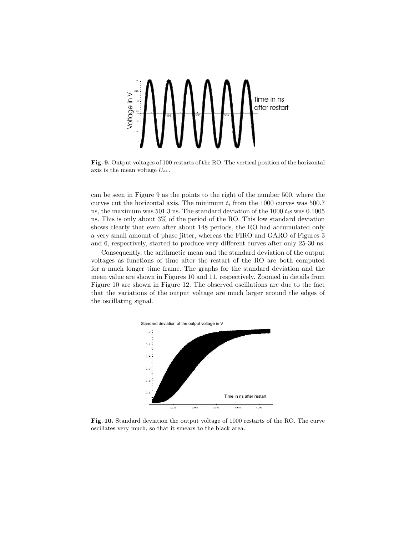

Fig. 9. Output voltages of 100 restarts of the RO. The vertical position of the horizontal axis is the mean voltage  $U_{av}$ .

can be seen in Figure 9 as the points to the right of the number 500, where the curves cut the horizontal axis. The minimum  $t_i$  from the 1000 curves was 500.7 ns, the maximum was 501.3 ns. The standard deviation of the 1000  $t_i$ s was 0.1005 ns. This is only about 3% of the period of the RO. This low standard deviation shows clearly that even after about 148 periods, the RO had accumulated only a very small amount of phase jitter, whereas the FIRO and GARO of Figures 3 and 6, respectively, started to produce very different curves after only 25-30 ns.

Consequently, the arithmetic mean and the standard deviation of the output voltages as functions of time after the restart of the RO are both computed for a much longer time frame. The graphs for the standard deviation and the mean value are shown in Figures 10 and 11, respectively. Zoomed in details from Figure 10 are shown in Figure 12. The observed oscillations are due to the fact that the variations of the output voltage are much larger around the edges of the oscillating signal.



Fig. 10. Standard deviation the output voltage of 1000 restarts of the RO. The curve oscillates very much, so that it smears to the black area.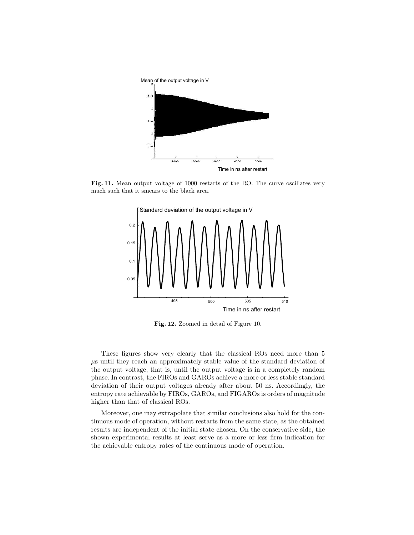

Fig. 11. Mean output voltage of 1000 restarts of the RO. The curve oscillates very much such that it smears to the black area.



Fig. 12. Zoomed in detail of Figure 10.

These figures show very clearly that the classical ROs need more than 5  $\mu$ s until they reach an approximately stable value of the standard deviation of the output voltage, that is, until the output voltage is in a completely random phase. In contrast, the FIROs and GAROs achieve a more or less stable standard deviation of their output voltages already after about 50 ns. Accordingly, the entropy rate achievable by FIROs, GAROs, and FIGAROs is orders of magnitude higher than that of classical ROs.

Moreover, one may extrapolate that similar conclusions also hold for the continuous mode of operation, without restarts from the same state, as the obtained results are independent of the initial state chosen. On the conservative side, the shown experimental results at least serve as a more or less firm indication for the achievable entropy rates of the continuous mode of operation.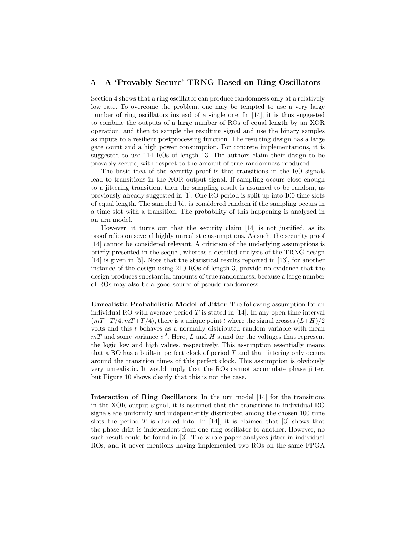## 5 A 'Provably Secure' TRNG Based on Ring Oscillators

Section 4 shows that a ring oscillator can produce randomness only at a relatively low rate. To overcome the problem, one may be tempted to use a very large number of ring oscillators instead of a single one. In [14], it is thus suggested to combine the outputs of a large number of ROs of equal length by an XOR operation, and then to sample the resulting signal and use the binary samples as inputs to a resilient postprocessing function. The resulting design has a large gate count and a high power consumption. For concrete implementations, it is suggested to use 114 ROs of length 13. The authors claim their design to be provably secure, with respect to the amount of true randomness produced.

The basic idea of the security proof is that transitions in the RO signals lead to transitions in the XOR output signal. If sampling occurs close enough to a jittering transition, then the sampling result is assumed to be random, as previously already suggested in [1]. One RO period is split up into 100 time slots of equal length. The sampled bit is considered random if the sampling occurs in a time slot with a transition. The probability of this happening is analyzed in an urn model.

However, it turns out that the security claim [14] is not justified, as its proof relies on several highly unrealistic assumptions. As such, the security proof [14] cannot be considered relevant. A criticism of the underlying assumptions is briefly presented in the sequel, whereas a detailed analysis of the TRNG design [14] is given in [5]. Note that the statistical results reported in [13], for another instance of the design using 210 ROs of length 3, provide no evidence that the design produces substantial amounts of true randomness, because a large number of ROs may also be a good source of pseudo randomness.

Unrealistic Probabilistic Model of Jitter The following assumption for an individual RO with average period  $T$  is stated in [14]. In any open time interval  $(mT-T/4, mT+T/4)$ , there is a unique point t where the signal crosses  $(L+H)/2$ volts and this t behaves as a normally distributed random variable with mean  $mT$  and some variance  $\sigma^2$ . Here, L and H stand for the voltages that represent the logic low and high values, respectively. This assumption essentially means that a RO has a built-in perfect clock of period  $T$  and that jittering only occurs around the transition times of this perfect clock. This assumption is obviously very unrealistic. It would imply that the ROs cannot accumulate phase jitter, but Figure 10 shows clearly that this is not the case.

Interaction of Ring Oscillators In the urn model [14] for the transitions in the XOR output signal, it is assumed that the transitions in individual RO signals are uniformly and independently distributed among the chosen 100 time slots the period  $T$  is divided into. In [14], it is claimed that [3] shows that the phase drift is independent from one ring oscillator to another. However, no such result could be found in [3]. The whole paper analyzes jitter in individual ROs, and it never mentions having implemented two ROs on the same FPGA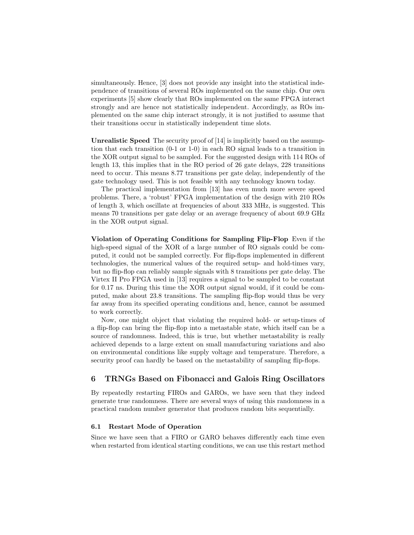simultaneously. Hence, [3] does not provide any insight into the statistical independence of transitions of several ROs implemented on the same chip. Our own experiments [5] show clearly that ROs implemented on the same FPGA interact strongly and are hence not statistically independent. Accordingly, as ROs implemented on the same chip interact strongly, it is not justified to assume that their transitions occur in statistically independent time slots.

Unrealistic Speed The security proof of [14] is implicitly based on the assumption that each transition (0-1 or 1-0) in each RO signal leads to a transition in the XOR output signal to be sampled. For the suggested design with 114 ROs of length 13, this implies that in the RO period of 26 gate delays, 228 transitions need to occur. This means 8.77 transitions per gate delay, independently of the gate technology used. This is not feasible with any technology known today.

The practical implementation from [13] has even much more severe speed problems. There, a 'robust' FPGA implementation of the design with 210 ROs of length 3, which oscillate at frequencies of about 333 MHz, is suggested. This means 70 transitions per gate delay or an average frequency of about 69.9 GHz in the XOR output signal.

Violation of Operating Conditions for Sampling Flip-Flop Even if the high-speed signal of the XOR of a large number of RO signals could be computed, it could not be sampled correctly. For flip-flops implemented in different technologies, the numerical values of the required setup- and hold-times vary, but no flip-flop can reliably sample signals with 8 transitions per gate delay. The Virtex II Pro FPGA used in [13] requires a signal to be sampled to be constant for 0.17 ns. During this time the XOR output signal would, if it could be computed, make about 23.8 transitions. The sampling flip-flop would thus be very far away from its specified operating conditions and, hence, cannot be assumed to work correctly.

Now, one might object that violating the required hold- or setup-times of a flip-flop can bring the flip-flop into a metastable state, which itself can be a source of randomness. Indeed, this is true, but whether metastability is really achieved depends to a large extent on small manufacturing variations and also on environmental conditions like supply voltage and temperature. Therefore, a security proof can hardly be based on the metastability of sampling flip-flops.

# 6 TRNGs Based on Fibonacci and Galois Ring Oscillators

By repeatedly restarting FIROs and GAROs, we have seen that they indeed generate true randomness. There are several ways of using this randomness in a practical random number generator that produces random bits sequentially.

#### 6.1 Restart Mode of Operation

Since we have seen that a FIRO or GARO behaves differently each time even when restarted from identical starting conditions, we can use this restart method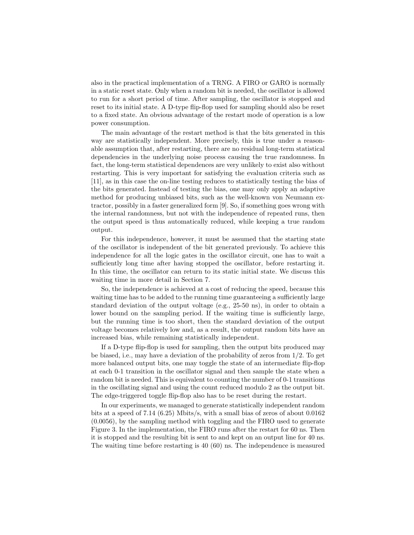also in the practical implementation of a TRNG. A FIRO or GARO is normally in a static reset state. Only when a random bit is needed, the oscillator is allowed to run for a short period of time. After sampling, the oscillator is stopped and reset to its initial state. A D-type flip-flop used for sampling should also be reset to a fixed state. An obvious advantage of the restart mode of operation is a low power consumption.

The main advantage of the restart method is that the bits generated in this way are statistically independent. More precisely, this is true under a reasonable assumption that, after restarting, there are no residual long-term statistical dependencies in the underlying noise process causing the true randomness. In fact, the long-term statistical dependences are very unlikely to exist also without restarting. This is very important for satisfying the evaluation criteria such as [11], as in this case the on-line testing reduces to statistically testing the bias of the bits generated. Instead of testing the bias, one may only apply an adaptive method for producing unbiased bits, such as the well-known von Neumann extractor, possibly in a faster generalized form [9]. So, if something goes wrong with the internal randomness, but not with the independence of repeated runs, then the output speed is thus automatically reduced, while keeping a true random output.

For this independence, however, it must be assumed that the starting state of the oscillator is independent of the bit generated previously. To achieve this independence for all the logic gates in the oscillator circuit, one has to wait a sufficiently long time after having stopped the oscillator, before restarting it. In this time, the oscillator can return to its static initial state. We discuss this waiting time in more detail in Section 7.

So, the independence is achieved at a cost of reducing the speed, because this waiting time has to be added to the running time guaranteeing a sufficiently large standard deviation of the output voltage (e.g., 25-50 ns), in order to obtain a lower bound on the sampling period. If the waiting time is sufficiently large, but the running time is too short, then the standard deviation of the output voltage becomes relatively low and, as a result, the output random bits have an increased bias, while remaining statistically independent.

If a D-type flip-flop is used for sampling, then the output bits produced may be biased, i.e., may have a deviation of the probability of zeros from 1/2. To get more balanced output bits, one may toggle the state of an intermediate flip-flop at each 0-1 transition in the oscillator signal and then sample the state when a random bit is needed. This is equivalent to counting the number of 0-1 transitions in the oscillating signal and using the count reduced modulo 2 as the output bit. The edge-triggered toggle flip-flop also has to be reset during the restart.

In our experiments, we managed to generate statistically independent random bits at a speed of 7.14 (6.25) Mbits/s, with a small bias of zeros of about 0.0162 (0.0056), by the sampling method with toggling and the FIRO used to generate Figure 3. In the implementation, the FIRO runs after the restart for 60 ns. Then it is stopped and the resulting bit is sent to and kept on an output line for 40 ns. The waiting time before restarting is 40 (60) ns. The independence is measured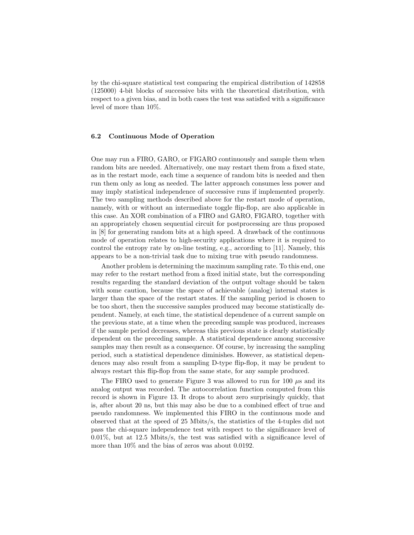by the chi-square statistical test comparing the empirical distribution of 142858 (125000) 4-bit blocks of successive bits with the theoretical distribution, with respect to a given bias, and in both cases the test was satisfied with a significance level of more than 10%.

#### 6.2 Continuous Mode of Operation

One may run a FIRO, GARO, or FIGARO continuously and sample them when random bits are needed. Alternatively, one may restart them from a fixed state, as in the restart mode, each time a sequence of random bits is needed and then run them only as long as needed. The latter approach consumes less power and may imply statistical independence of successive runs if implemented properly. The two sampling methods described above for the restart mode of operation, namely, with or without an intermediate toggle flip-flop, are also applicable in this case. An XOR combination of a FIRO and GARO, FIGARO, together with an appropriately chosen sequential circuit for postprocessing are thus proposed in [8] for generating random bits at a high speed. A drawback of the continuous mode of operation relates to high-security applications where it is required to control the entropy rate by on-line testing, e.g., according to [11]. Namely, this appears to be a non-trivial task due to mixing true with pseudo randomness.

Another problem is determining the maximum sampling rate. To this end, one may refer to the restart method from a fixed initial state, but the corresponding results regarding the standard deviation of the output voltage should be taken with some caution, because the space of achievable (analog) internal states is larger than the space of the restart states. If the sampling period is chosen to be too short, then the successive samples produced may become statistically dependent. Namely, at each time, the statistical dependence of a current sample on the previous state, at a time when the preceding sample was produced, increases if the sample period decreases, whereas this previous state is clearly statistically dependent on the preceding sample. A statistical dependence among successive samples may then result as a consequence. Of course, by increasing the sampling period, such a statistical dependence diminishes. However, as statistical dependences may also result from a sampling D-type flip-flop, it may be prudent to always restart this flip-flop from the same state, for any sample produced.

The FIRO used to generate Figure 3 was allowed to run for 100  $\mu$ s and its analog output was recorded. The autocorrelation function computed from this record is shown in Figure 13. It drops to about zero surprisingly quickly, that is, after about 20 ns, but this may also be due to a combined effect of true and pseudo randomness. We implemented this FIRO in the continuous mode and observed that at the speed of 25 Mbits/s, the statistics of the 4-tuples did not pass the chi-square independence test with respect to the significance level of 0.01%, but at 12.5 Mbits/s, the test was satisfied with a significance level of more than 10% and the bias of zeros was about 0.0192.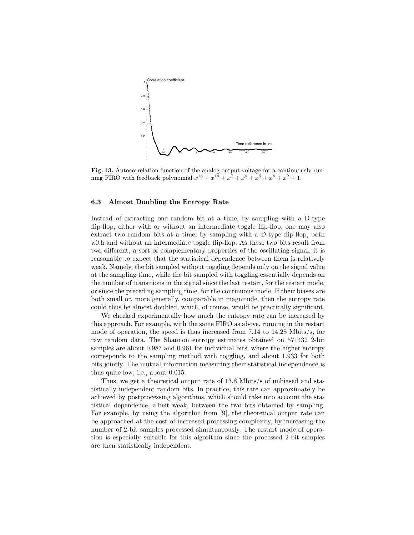

Fig. 13. Autocorrelation function of the analog output voltage for a continuously running FIRO with feedback polynomial  $x^{15} + x^{14} + x^7 + x^6 + x^5 + x^4 + x^2 + 1$ .

#### 6.3 Almost Doubling the Entropy Rate

Instead of extracting one random bit at a time, by sampling with a D-type flip-flop, either with or without an intermediate toggle flip-flop, one may also extract two random bits at a time, by sampling with a D-type flip-flop, both with and without an intermediate toggle flip-flop. As these two bits result from two different, a sort of complementary properties of the oscillating signal, it is reasonable to expect that the statistical dependence between them is relatively weak. Namely, the bit sampled without toggling depends only on the signal value at the sampling time, while the bit sampled with toggling essentially depends on the number of transitions in the signal since the last restart, for the restart mode, or since the preceding sampling time, for the continuous mode. If their biases are both small or, more generally, comparable in magnitude, then the entropy rate could thus be almost doubled, which, of course, would be practically significant.

We checked experimentally how much the entropy rate can be increased by this approach. For example, with the same FIRO as above, running in the restart mode of operation, the speed is thus increased from 7.14 to 14.28 Mbits/s, for raw random data. The Shannon entropy estimates obtained on 571432 2-bit samples are about 0.987 and 0.961 for individual bits, where the higher entropy corresponds to the sampling method with toggling, and about 1.933 for both bits jointly. The mutual information measuring their statistical independence is thus quite low, i.e., about 0.015.

Thus, we get a theoretical output rate of 13.8 Mbits/s of unbiased and statistically independent random bits. In practice, this rate can approximately be achieved by postprocessing algorithms, which should take into account the statistical dependence, albeit weak, between the two bits obtained by sampling. For example, by using the algorithm from [9], the theoretical output rate can be approached at the cost of increased processing complexity, by increasing the number of 2-bit samples processed simultaneously. The restart mode of operation is especially suitable for this algorithm since the processed 2-bit samples are then statistically independent.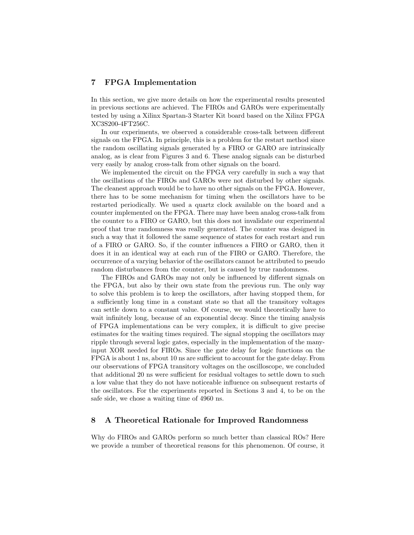## 7 FPGA Implementation

In this section, we give more details on how the experimental results presented in previous sections are achieved. The FIROs and GAROs were experimentally tested by using a Xilinx Spartan-3 Starter Kit board based on the Xilinx FPGA XC3S200-4FT256C.

In our experiments, we observed a considerable cross-talk between different signals on the FPGA. In principle, this is a problem for the restart method since the random oscillating signals generated by a FIRO or GARO are intrinsically analog, as is clear from Figures 3 and 6. These analog signals can be disturbed very easily by analog cross-talk from other signals on the board.

We implemented the circuit on the FPGA very carefully in such a way that the oscillations of the FIROs and GAROs were not disturbed by other signals. The cleanest approach would be to have no other signals on the FPGA. However, there has to be some mechanism for timing when the oscillators have to be restarted periodically. We used a quartz clock available on the board and a counter implemented on the FPGA. There may have been analog cross-talk from the counter to a FIRO or GARO, but this does not invalidate our experimental proof that true randomness was really generated. The counter was designed in such a way that it followed the same sequence of states for each restart and run of a FIRO or GARO. So, if the counter influences a FIRO or GARO, then it does it in an identical way at each run of the FIRO or GARO. Therefore, the occurrence of a varying behavior of the oscillators cannot be attributed to pseudo random disturbances from the counter, but is caused by true randomness.

The FIROs and GAROs may not only be influenced by different signals on the FPGA, but also by their own state from the previous run. The only way to solve this problem is to keep the oscillators, after having stopped them, for a sufficiently long time in a constant state so that all the transitory voltages can settle down to a constant value. Of course, we would theoretically have to wait infinitely long, because of an exponential decay. Since the timing analysis of FPGA implementations can be very complex, it is difficult to give precise estimates for the waiting times required. The signal stopping the oscillators may ripple through several logic gates, especially in the implementation of the manyinput XOR needed for FIROs. Since the gate delay for logic functions on the FPGA is about 1 ns, about 10 ns are sufficient to account for the gate delay. From our observations of FPGA transitory voltages on the oscilloscope, we concluded that additional 20 ns were sufficient for residual voltages to settle down to such a low value that they do not have noticeable influence on subsequent restarts of the oscillators. For the experiments reported in Sections 3 and 4, to be on the safe side, we chose a waiting time of 4960 ns.

# 8 A Theoretical Rationale for Improved Randomness

Why do FIROs and GAROs perform so much better than classical ROs? Here we provide a number of theoretical reasons for this phenomenon. Of course, it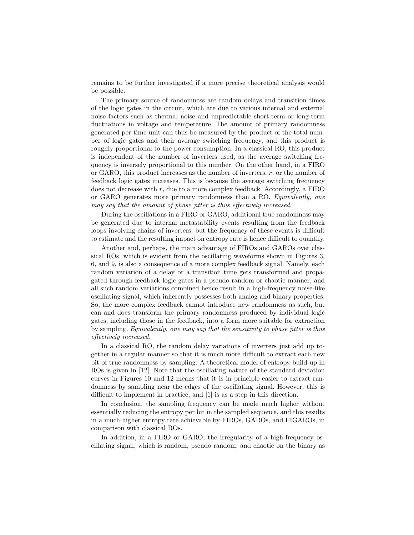remains to be further investigated if a more precise theoretical analysis would be possible.

The primary source of randomness are random delays and transition times of the logic gates in the circuit, which are due to various internal and external noise factors such as thermal noise and unpredictable short-term or long-term fluctuations in voltage and temperature. The amount of primary randomness generated per time unit can thus be measured by the product of the total number of logic gates and their average switching frequency, and this product is roughly proportional to the power consumption. In a classical RO, this product is independent of the number of inverters used, as the average switching frequency is inversely proportional to this number. On the other hand, in a FIRO or GARO, this product increases as the number of inverters, r, or the number of feedback logic gates increases. This is because the average switching frequency does not decrease with  $r$ , due to a more complex feedback. Accordingly, a FIRO or GARO generates more primary randomness than a RO. Equivalently, one may say that the amount of phase jitter is thus effectively increased.

During the oscillations in a FIRO or GARO, additional true randomness may be generated due to internal metastability events resulting from the feedback loops involving chains of inverters, but the frequency of these events is difficult to estimate and the resulting impact on entropy rate is hence difficult to quantify.

Another and, perhaps, the main advantage of FIROs and GAROs over classical ROs, which is evident from the oscillating waveforms shown in Figures 3, 6, and 9, is also a consequence of a more complex feedback signal. Namely, each random variation of a delay or a transition time gets transformed and propagated through feedback logic gates in a pseudo random or chaotic manner, and all such random variations combined hence result in a high-frequency noise-like oscillating signal, which inherently possesses both analog and binary properties. So, the more complex feedback cannot introduce new randomness as such, but can and does transform the primary randomness produced by individual logic gates, including those in the feedback, into a form more suitable for extraction by sampling. Equivalently, one may say that the sensitivity to phase jitter is thus effectively increased.

In a classical RO, the random delay variations of inverters just add up together in a regular manner so that it is much more difficult to extract each new bit of true randomness by sampling. A theoretical model of entropy build-up in ROs is given in [12]. Note that the oscillating nature of the standard deviation curves in Figures 10 and 12 means that it is in principle easier to extract randomness by sampling near the edges of the oscillating signal. However, this is difficult to implement in practice, and [1] is as a step in this direction.

In conclusion, the sampling frequency can be made much higher without essentially reducing the entropy per bit in the sampled sequence, and this results in a much higher entropy rate achievable by FIROs, GAROs, and FIGAROs, in comparison with classical ROs.

In addition, in a FIRO or GARO, the irregularity of a high-frequency oscillating signal, which is random, pseudo random, and chaotic on the binary as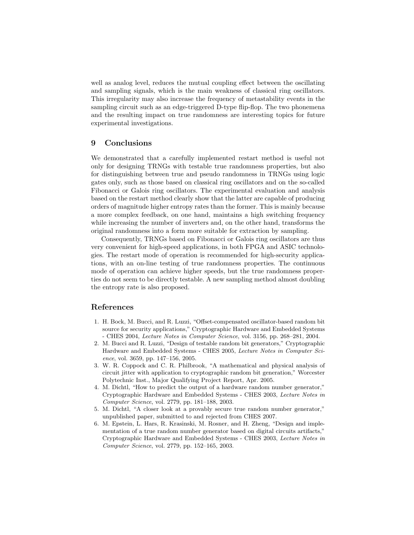well as analog level, reduces the mutual coupling effect between the oscillating and sampling signals, which is the main weakness of classical ring oscillators. This irregularity may also increase the frequency of metastability events in the sampling circuit such as an edge-triggered D-type flip-flop. The two phonemena and the resulting impact on true randomness are interesting topics for future experimental investigations.

# 9 Conclusions

We demonstrated that a carefully implemented restart method is useful not only for designing TRNGs with testable true randomness properties, but also for distinguishing between true and pseudo randomness in TRNGs using logic gates only, such as those based on classical ring oscillators and on the so-called Fibonacci or Galois ring oscillators. The experimental evaluation and analysis based on the restart method clearly show that the latter are capable of producing orders of magnitude higher entropy rates than the former. This is mainly because a more complex feedback, on one hand, maintains a high switching frequency while increasing the number of inverters and, on the other hand, transforms the original randomness into a form more suitable for extraction by sampling.

Consequently, TRNGs based on Fibonacci or Galois ring oscillators are thus very convenient for high-speed applications, in both FPGA and ASIC technologies. The restart mode of operation is recommended for high-security applications, with an on-line testing of true randomness properties. The continuous mode of operation can achieve higher speeds, but the true randomness properties do not seem to be directly testable. A new sampling method almost doubling the entropy rate is also proposed.

## References

- 1. H. Bock, M. Bucci, and R. Luzzi, "Offset-compensated oscillator-based random bit source for security applications," Cryptographic Hardware and Embedded Systems - CHES 2004, Lecture Notes in Computer Science, vol. 3156, pp. 268–281, 2004.
- 2. M. Bucci and R. Luzzi, "Design of testable random bit generators," Cryptographic Hardware and Embedded Systems - CHES 2005, Lecture Notes in Computer Science, vol. 3659, pp. 147–156, 2005.
- 3. W. R. Coppock and C. R. Philbrook, "A mathematical and physical analysis of circuit jitter with application to cryptographic random bit generation," Worcester Polytechnic Inst., Major Qualifying Project Report, Apr. 2005.
- 4. M. Dichtl, "How to predict the output of a hardware random number generator," Cryptographic Hardware and Embedded Systems - CHES 2003, Lecture Notes in Computer Science, vol. 2779, pp. 181–188, 2003.
- 5. M. Dichtl, "A closer look at a provably secure true random number generator," unpublished paper, submitted to and rejected from CHES 2007.
- 6. M. Epstein, L. Hars, R. Krasinski, M. Rosner, and H. Zheng, "Design and implementation of a true random number generator based on digital circuits artifacts," Cryptographic Hardware and Embedded Systems - CHES 2003, Lecture Notes in Computer Science, vol. 2779, pp. 152–165, 2003.